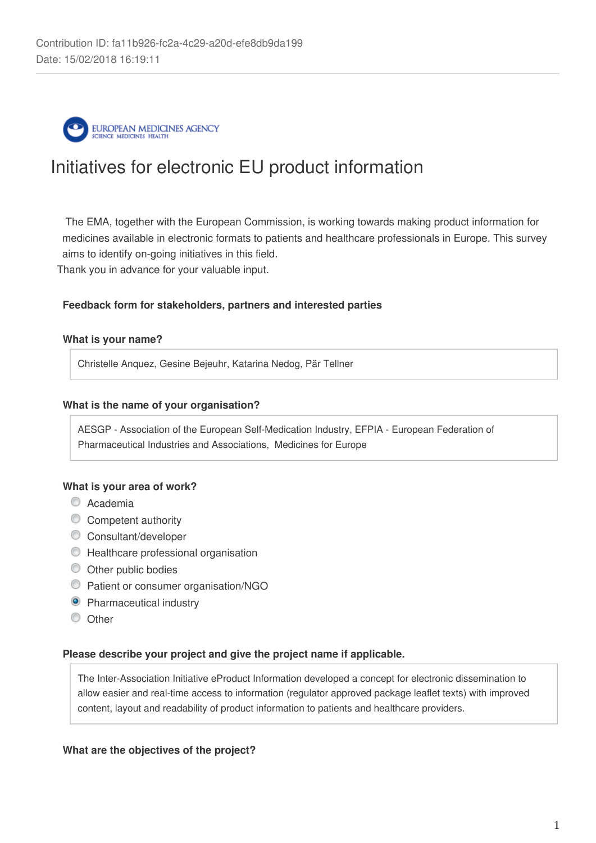

# Initiatives for electronic EU product information

 The EMA, together with the European Commission, is working towards making product information for medicines available in electronic formats to patients and healthcare professionals in Europe. This survey aims to identify on-going initiatives in this field.

Thank you in advance for your valuable input.

## **Feedback form for stakeholders, partners and interested parties**

## **What is your name?**

Christelle Anquez, Gesine Bejeuhr, Katarina Nedog, Pär Tellner

## **What is the name of your organisation?**

AESGP - Association of the European Self-Medication Industry, EFPIA - European Federation of Pharmaceutical Industries and Associations, Medicines for Europe

## **What is your area of work?**

- C Academia
- **Competent authority**
- Consultant/developer
- $\bullet$  Healthcare professional organisation
- $\bullet$  Other public bodies
- **Patient or consumer organisation/NGO**
- **O** Pharmaceutical industry
- C Other

## **Please describe your project and give the project name if applicable.**

The Inter-Association Initiative eProduct Information developed a concept for electronic dissemination to allow easier and real-time access to information (regulator approved package leaflet texts) with improved content, layout and readability of product information to patients and healthcare providers.

## **What are the objectives of the project?**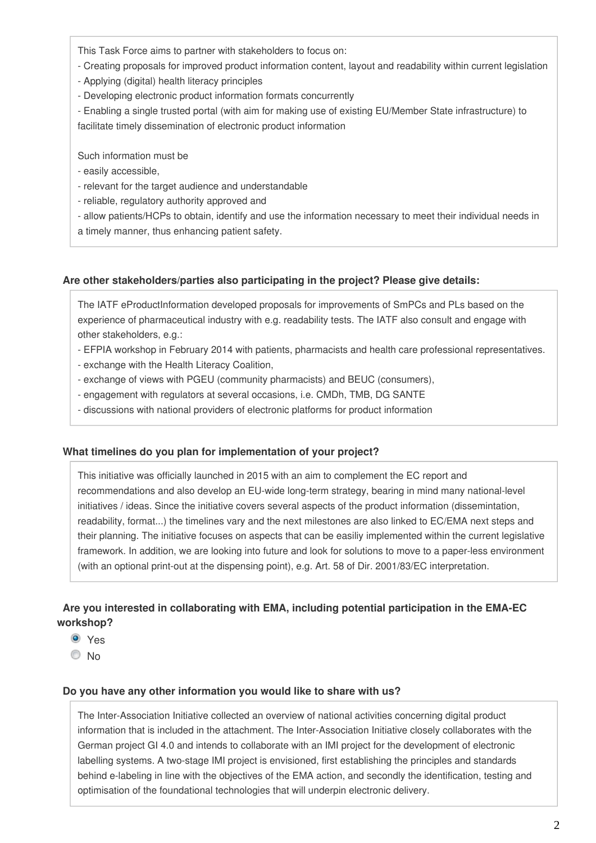This Task Force aims to partner with stakeholders to focus on:

- Creating proposals for improved product information content, layout and readability within current legislation
- Applying (digital) health literacy principles
- Developing electronic product information formats concurrently

- Enabling a single trusted portal (with aim for making use of existing EU/Member State infrastructure) to facilitate timely dissemination of electronic product information

Such information must be

- easily accessible,
- relevant for the target audience and understandable
- reliable, regulatory authority approved and

- allow patients/HCPs to obtain, identify and use the information necessary to meet their individual needs in a timely manner, thus enhancing patient safety.

## **Are other stakeholders/parties also participating in the project? Please give details:**

The IATF eProductInformation developed proposals for improvements of SmPCs and PLs based on the experience of pharmaceutical industry with e.g. readability tests. The IATF also consult and engage with other stakeholders, e.g.:

- EFPIA workshop in February 2014 with patients, pharmacists and health care professional representatives.
- exchange with the Health Literacy Coalition,
- exchange of views with PGEU (community pharmacists) and BEUC (consumers),
- engagement with regulators at several occasions, i.e. CMDh, TMB, DG SANTE
- discussions with national providers of electronic platforms for product information

## **What timelines do you plan for implementation of your project?**

This initiative was officially launched in 2015 with an aim to complement the EC report and recommendations and also develop an EU-wide long-term strategy, bearing in mind many national-level initiatives / ideas. Since the initiative covers several aspects of the product information (dissemintation, readability, format...) the timelines vary and the next milestones are also linked to EC/EMA next steps and their planning. The initiative focuses on aspects that can be easiliy implemented within the current legislative framework. In addition, we are looking into future and look for solutions to move to a paper-less environment (with an optional print-out at the dispensing point), e.g. Art. 58 of Dir. 2001/83/EC interpretation.

# **Are you interested in collaborating with EMA, including potential participation in the EMA-EC workshop?**

- Yes
- $\odot$  No

## **Do you have any other information you would like to share with us?**

The Inter-Association Initiative collected an overview of national activities concerning digital product information that is included in the attachment. The Inter-Association Initiative closely collaborates with the German project GI 4.0 and intends to collaborate with an IMI project for the development of electronic labelling systems. A two-stage IMI project is envisioned, first establishing the principles and standards behind e-labeling in line with the objectives of the EMA action, and secondly the identification, testing and optimisation of the foundational technologies that will underpin electronic delivery.